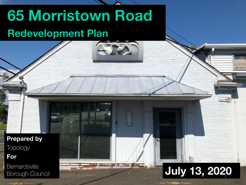# **65 Morristown Road Redevelopment Plan**

**Prepared by Topology For**

**Bernardsville** 

Bernardsville<br>Borough Council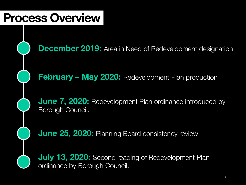### **Process Overview**

**December 2019:** Area in Need of Redevelopment designation

**February – May 2020:** Redevelopment Plan production

**June 7, 2020:** Redevelopment Plan ordinance introduced by Borough Council.

**June 25, 2020:** Planning Board consistency review

**July 13, 2020:** Second reading of Redevelopment Plan ordinance by Borough Council.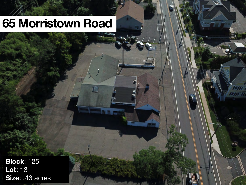## **65 Morristown Road**

 $\mathcal{F} = \mathcal{F}$ 

**Block**: 125 **Lot**: 13 **Size**: .43 acres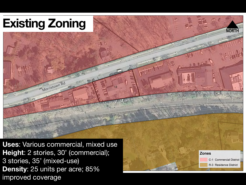# **Existing Zoning**



**Zones** 

C-1 Commercial District R-3 Residence District

**Uses**: Various commercial, mixed use **Height**: 2 stories, 30' (commercial); 3 stories, 35' (mixed-use) **Density**: 25 units per acre; 85% improved coverage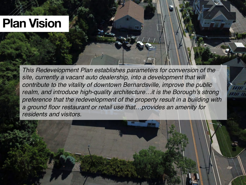### **Plan Vision**

*This Redevelopment Plan establishes parameters for conversion of the site, currently a vacant auto dealership, into a development that will contribute to the vitality of downtown Bernardsville, improve the public realm, and introduce high-quality architecture…it is the Borough's strong preference that the redevelopment of the property result in a building with a ground floor restaurant or retail use that…provides an amenity for residents and visitors.*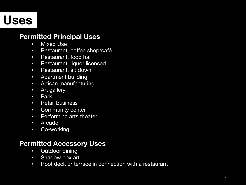## **Uses**

#### **Permitted Principal Uses**

- Mixed Use
- Restaurant, coffee shop/café
- Restaurant, food hall
- Restaurant, liquor licensed
- Restaurant, sit down
- Apartment building
- Artisan manufacturing
- Art gallery
- Park
- Retail business
- Community center
- Performing arts theater
- Arcade
- Co-working

#### **Permitted Accessory Uses**

- Outdoor dining
- Shadow box art
- Roof deck or terrace in connection with a restaurant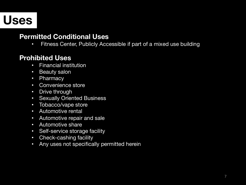## **Uses**

### **Permitted Conditional Uses**

• Fitness Center, Publicly Accessible if part of a mixed use building

### **Prohibited Uses**

- Financial institution
- Beauty salon
- Pharmacy
- Convenience store
- Drive through
- Sexually Oriented Business
- Tobacco/vape store
- Automotive rental
- Automotive repair and sale
- Automotive share
- Self-service storage facility
- Check-cashing facility
- Any uses not specifically permitted herein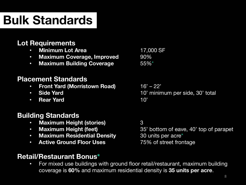# **Bulk Standards**

### **Lot Requirements**

- **Minimum Lot Area** 17,000 SF
- **Maximum Coverage, Improved** 90%
- **Maximum Building Coverage** 55%\*

### **Placement Standards**

- **Front Yard (Morristown Road)** 16' 22'
- 
- **Rear Yard** 10'

### **Building Standards**

- **Maximum Height (stories)** 3
- 
- **Maximum Residential Density** 30 units per acre<sup>\*</sup>
- **Active Ground Floor Uses** 75% of street frontage

```
• Maximum Height (feet) 35' bottom of eave, 40' top of parapet
```
### **Retail/Restaurant Bonus\***

• For mixed use buildings with ground floor retail/restaurant, maximum building coverage is **60%** and maximum residential density is **35 units per acre**.

• **Side Yard 10'** minimum per side, 30' total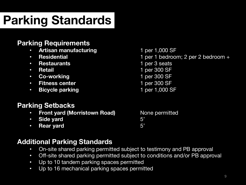# **Parking Standards**

### **Parking Requirements**

- **Artisan manufacturing high careform of the 1,000 SF**
- 
- **Restaurants** 1 per 3 seats
- 
- Co-working **1 per 300 SF**
- **Fitness center** 1 per 300 SF
- **Bicycle parking** 1 per 1,000 SF
- **Residential** 1 per 1 bedroom; 2 per 2 bedroom + • **Retail** 1 per 300 SF
	-
	-

### **Parking Setbacks**

- **Front yard (Morristown Road)** None permitted
- **Side yard** 5'
- **Rear yard** 5'

### **Additional Parking Standards**

- On-site shared parking permitted subject to testimony and PB approval
- Off-site shared parking permitted subject to conditions and/or PB approval
- Up to 10 tandem parking spaces permitted
- Up to 16 mechanical parking spaces permitted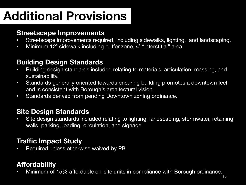# **Additional Provisions**

#### **Streetscape Improvements**

- Streetscape improvements required, including sidewalks, lighting, and landscaping,
- Minimum 12' sidewalk including buffer zone, 4' "interstitial" area.

### **Building Design Standards**

- Building design standards included relating to materials, articulation, massing, and sustainability.
- Standards generally oriented towards ensuring building promotes a downtown feel and is consistent with Borough's architectural vision.
- Standards derived from pending Downtown zoning ordinance.

### **Site Design Standards**

• Site design standards included relating to lighting, landscaping, stormwater, retaining walls, parking, loading, circulation, and signage.

### **Traffic Impact Study**

• Required unless otherwise waived by PB.

### **Affordability**

• Minimum of 15% affordable on-site units in compliance with Borough ordinance.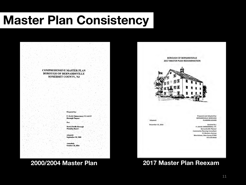# **Master Plan Consistency**



**BOROUGH OF BERNARDSVILLE** 2017 MASTER PLAN REEXAMINATION



**Adopted:** 

December 15, 2016

**Prepared and Adopted by: BERNARDSVILLE BOROUGH PLANNING BOARD** 

Assisted by: P. DAVID ZIMMERMAN, P.P. **Bernardsville Planner Community Planning Consultant** 21 Western Avenue Morristown, New Jersey 07960 973.539.9616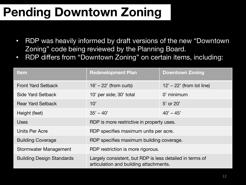# **Pending Downtown Zoning**

- RDP was heavily informed by draft versions of the new "Downtown Zoning" code being reviewed by the Planning Board.
- RDP differs from "Downtown Zoning" on certain items, including:

| <b>Item</b>                      | <b>Redevelopment Plan</b>                                                                          | <b>Downtown Zoning</b>      |
|----------------------------------|----------------------------------------------------------------------------------------------------|-----------------------------|
| <b>Front Yard Setback</b>        | $16' - 22'$ (from curb)                                                                            | $12' - 22'$ (from lot line) |
| Side Yard Setback                | 10' per side; 30' total                                                                            | $0'$ minimum                |
| <b>Rear Yard Setback</b>         | 10'                                                                                                | 5' or 20'                   |
| Height (feet)                    | $35' - 40'$                                                                                        | $40' - 45'$                 |
| <b>Uses</b>                      | RDP is more restrictive in property uses.                                                          |                             |
| Units Per Acre                   | RDP specifies maximum units per acre.                                                              |                             |
| <b>Building Coverage</b>         | RDP specifies maximum building coverage.                                                           |                             |
| Stormwater Management            | RDP restriction is more rigorous.                                                                  |                             |
| <b>Building Design Standards</b> | Largely consistent, but RDP is less detailed in terms of<br>articulation and building attachments. |                             |